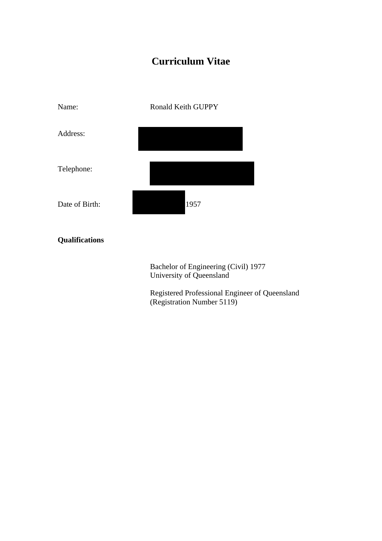# **Curriculum Vitae**



## **Qualifications**

Bachelor of Engineering (Civil) 1977 University of Queensland

Registered Professional Engineer of Queensland (Registration Number 5119)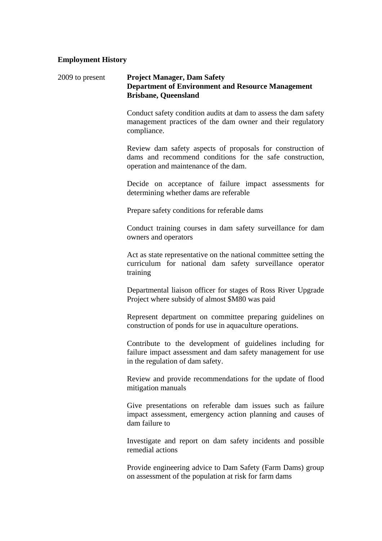#### **Employment History**

#### 2009 to present **Project Manager, Dam Safety Department of Environment and Resource Management Brisbane, Queensland**

Conduct safety condition audits at dam to assess the dam safety management practices of the dam owner and their regulatory compliance.

Review dam safety aspects of proposals for construction of dams and recommend conditions for the safe construction, operation and maintenance of the dam.

Decide on acceptance of failure impact assessments for determining whether dams are referable

Prepare safety conditions for referable dams

Conduct training courses in dam safety surveillance for dam owners and operators

Act as state representative on the national committee setting the curriculum for national dam safety surveillance operator training

Departmental liaison officer for stages of Ross River Upgrade Project where subsidy of almost \$M80 was paid

Represent department on committee preparing guidelines on construction of ponds for use in aquaculture operations.

Contribute to the development of guidelines including for failure impact assessment and dam safety management for use in the regulation of dam safety.

Review and provide recommendations for the update of flood mitigation manuals

Give presentations on referable dam issues such as failure impact assessment, emergency action planning and causes of dam failure to

Investigate and report on dam safety incidents and possible remedial actions

Provide engineering advice to Dam Safety (Farm Dams) group on assessment of the population at risk for farm dams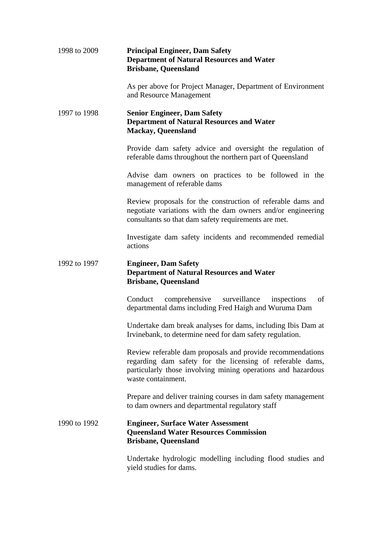| 1998 to 2009 | <b>Principal Engineer, Dam Safety</b><br><b>Department of Natural Resources and Water</b><br><b>Brisbane, Queensland</b>                                                                                      |
|--------------|---------------------------------------------------------------------------------------------------------------------------------------------------------------------------------------------------------------|
|              | As per above for Project Manager, Department of Environment<br>and Resource Management                                                                                                                        |
| 1997 to 1998 | <b>Senior Engineer, Dam Safety</b><br><b>Department of Natural Resources and Water</b><br><b>Mackay, Queensland</b>                                                                                           |
|              | Provide dam safety advice and oversight the regulation of<br>referable dams throughout the northern part of Queensland                                                                                        |
|              | Advise dam owners on practices to be followed in the<br>management of referable dams                                                                                                                          |
|              | Review proposals for the construction of referable dams and<br>negotiate variations with the dam owners and/or engineering<br>consultants so that dam safety requirements are met.                            |
|              | Investigate dam safety incidents and recommended remedial<br>actions                                                                                                                                          |
| 1992 to 1997 |                                                                                                                                                                                                               |
|              | <b>Engineer, Dam Safety</b><br><b>Department of Natural Resources and Water</b><br><b>Brisbane, Queensland</b>                                                                                                |
|              | comprehensive<br>surveillance inspections<br>of<br>Conduct<br>departmental dams including Fred Haigh and Wuruma Dam                                                                                           |
|              | Undertake dam break analyses for dams, including Ibis Dam at<br>Irvinebank, to determine need for dam safety regulation.                                                                                      |
|              | Review referable dam proposals and provide recommendations<br>regarding dam safety for the licensing of referable dams,<br>particularly those involving mining operations and hazardous<br>waste containment. |
|              | Prepare and deliver training courses in dam safety management<br>to dam owners and departmental regulatory staff                                                                                              |
| 1990 to 1992 | <b>Engineer, Surface Water Assessment</b><br><b>Queensland Water Resources Commission</b><br><b>Brisbane, Queensland</b>                                                                                      |

yield studies for dams.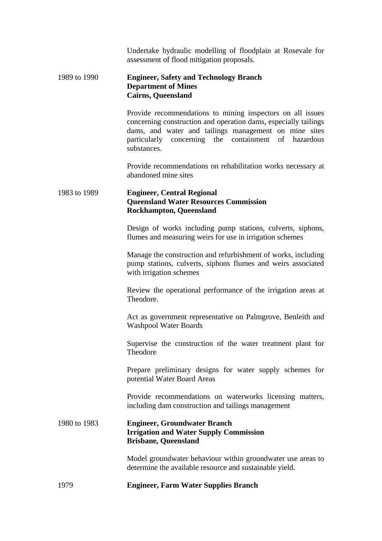Undertake hydraulic modelling of floodplain at Rosevale for assessment of flood mitigation proposals.

#### 1989 to 1990 **Engineer, Safety and Technology Branch Department of Mines Cairns, Queensland**

Provide recommendations to mining inspectors on all issues concerning construction and operation dams, especially tailings dams, and water and tailings management on mine sites particularly concerning the containment of hazardous substances.

Provide recommendations on rehabilitation works necessary at abandoned mine sites

## 1983 to 1989 **Engineer, Central Regional Queensland Water Resources Commission Rockhampton, Queensland**

Design of works including pump stations, culverts, siphons, flumes and measuring weirs for use in irrigation schemes

Manage the construction and refurbishment of works, including pump stations, culverts, siphons flumes and weirs associated with irrigation schemes

Review the operational performance of the irrigation areas at Theodore.

Act as government representative on Palmgrove, Benleith and Washpool Water Boards

Supervise the construction of the water treatment plant for **Theodore** 

Prepare preliminary designs for water supply schemes for potential Water Board Areas

Provide recommendations on waterworks licensing matters, including dam construction and tailings management

## 1980 to 1983 **Engineer, Groundwater Branch Irrigation and Water Supply Commission Brisbane, Queensland**

Model groundwater behaviour within groundwater use areas to determine the available resource and sustainable yield.

## 1979 **Engineer, Farm Water Supplies Branch**